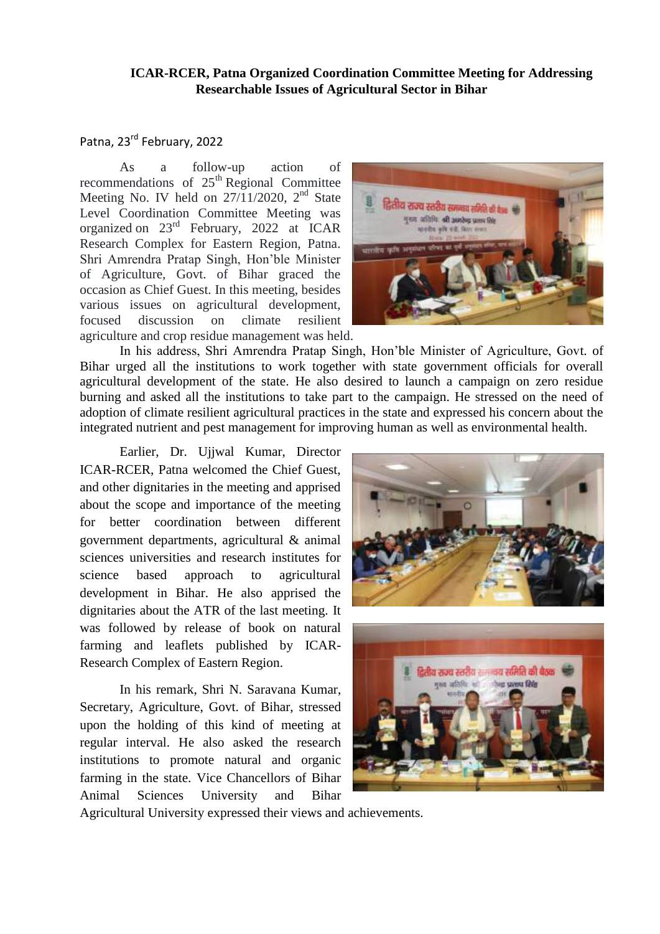## **ICAR-RCER, Patna Organized Coordination Committee Meeting for Addressing Researchable Issues of Agricultural Sector in Bihar**

## Patna, 23rd February, 2022

As a follow-up action of recommendations of  $25<sup>th</sup>$  Regional Committee Meeting No. IV held on  $27/11/2020$ ,  $2<sup>nd</sup>$  State Level Coordination Committee Meeting was organized on 23rd February, 2022 at ICAR Research Complex for Eastern Region, Patna. Shri Amrendra Pratap Singh, Hon'ble Minister of Agriculture, Govt. of Bihar graced the occasion as Chief Guest. In this meeting, besides various issues on agricultural development, focused discussion on climate resilient agriculture and crop residue management was held.

In his address, Shri Amrendra Pratap Singh, Hon'ble Minister of Agriculture, Govt. of Bihar urged all the institutions to work together with state government officials for overall agricultural development of the state. He also desired to launch a campaign on zero residue burning and asked all the institutions to take part to the campaign. He stressed on the need of adoption of climate resilient agricultural practices in the state and expressed his concern about the integrated nutrient and pest management for improving human as well as environmental health.

Earlier, Dr. Ujjwal Kumar, Director ICAR-RCER, Patna welcomed the Chief Guest, and other dignitaries in the meeting and apprised about the scope and importance of the meeting for better coordination between different government departments, agricultural & animal sciences universities and research institutes for science based approach to agricultural development in Bihar. He also apprised the dignitaries about the ATR of the last meeting. It was followed by release of book on natural farming and leaflets published by ICAR-Research Complex of Eastern Region.

In his remark, Shri N. Saravana Kumar, Secretary, Agriculture, Govt. of Bihar, stressed upon the holding of this kind of meeting at regular interval. He also asked the research institutions to promote natural and organic farming in the state. Vice Chancellors of Bihar Animal Sciences University and Bihar

द्वितीय राज्य स्तरीय समन्वय समिति की के gen athfu. all ander some for spells als vit, far





Agricultural University expressed their views and achievements.